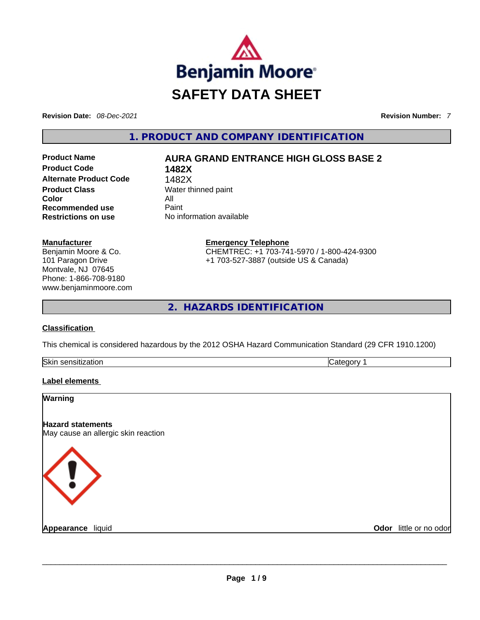

**Revision Date:** *08-Dec-2021* **Revision Number:** *7*

**1. PRODUCT AND COMPANY IDENTIFICATION** 

**Product Code 1482X Alternate Product Code** 1482X **Product Class Water thinned paint Color** All<br> **Recommended use** Paint **Recommended use Restrictions on use** No information available

# **Product Name AURA GRAND ENTRANCE HIGH GLOSS BASE 2**

**Manufacturer** Benjamin Moore & Co. 101 Paragon Drive Montvale, NJ 07645 Phone: 1-866-708-9180 www.benjaminmoore.com **Emergency Telephone** CHEMTREC: +1 703-741-5970 / 1-800-424-9300 +1 703-527-3887 (outside US & Canada)

**2. HAZARDS IDENTIFICATION** 

# **Classification**

This chemical is considered hazardous by the 2012 OSHA Hazard Communication Standard (29 CFR 1910.1200)

| Skin<br>--<br>- | . |
|-----------------|---|
|                 |   |

# **Label elements**

# **Warning Hazard statements** May cause an allergic skin reaction **Appearance** liquid **and a construction of the construction of the construction of the construction of the construction of the construction of the construction of the construction of the construction of the construction of Odor** little or no odor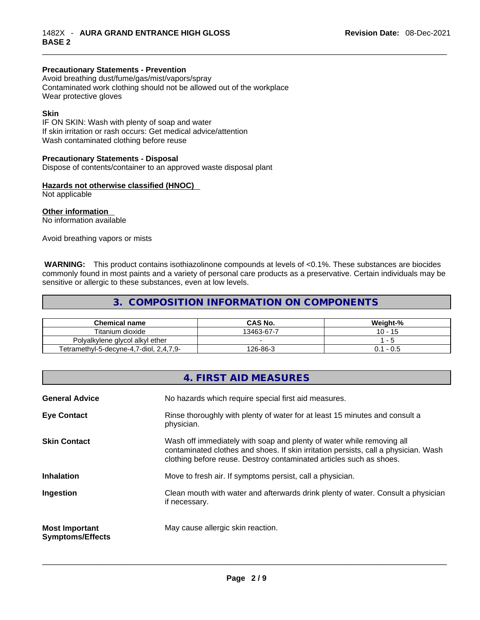#### **Precautionary Statements - Prevention**

Avoid breathing dust/fume/gas/mist/vapors/spray Contaminated work clothing should not be allowed out of the workplace Wear protective gloves

#### **Skin**

IF ON SKIN: Wash with plenty of soap and water If skin irritation or rash occurs: Get medical advice/attention Wash contaminated clothing before reuse

#### **Precautionary Statements - Disposal**

Dispose of contents/container to an approved waste disposal plant

# **Hazards not otherwise classified (HNOC)**

Not applicable

# **Other information**

No information available

Avoid breathing vapors or mists

**WARNING:** This product contains isothiazolinone compounds at levels of <0.1%. These substances are biocides commonly found in most paints and a variety of personal care products as a preservative. Certain individuals may be sensitive or allergic to these substances, even at low levels.

# **3. COMPOSITION INFORMATION ON COMPONENTS**

| <b>Chemical name</b>                    | CAS No.    | Weight-%      |
|-----------------------------------------|------------|---------------|
| Titanium dioxide                        | 13463-67-7 | $10 -$<br>-15 |
| Polyalkylene glycol alkyl ether         |            |               |
| Tetramethyl-5-decyne-4,7-diol, 2,4,7,9- | 126-86-3   | - 0.5         |

|                                                  | 4. FIRST AID MEASURES                                                                                                                                                                                                               |
|--------------------------------------------------|-------------------------------------------------------------------------------------------------------------------------------------------------------------------------------------------------------------------------------------|
| <b>General Advice</b>                            | No hazards which require special first aid measures.                                                                                                                                                                                |
| <b>Eye Contact</b>                               | Rinse thoroughly with plenty of water for at least 15 minutes and consult a<br>physician.                                                                                                                                           |
| <b>Skin Contact</b>                              | Wash off immediately with soap and plenty of water while removing all<br>contaminated clothes and shoes. If skin irritation persists, call a physician. Wash<br>clothing before reuse. Destroy contaminated articles such as shoes. |
| <b>Inhalation</b>                                | Move to fresh air. If symptoms persist, call a physician.                                                                                                                                                                           |
| Ingestion                                        | Clean mouth with water and afterwards drink plenty of water. Consult a physician<br>if necessary.                                                                                                                                   |
| <b>Most Important</b><br><b>Symptoms/Effects</b> | May cause allergic skin reaction.                                                                                                                                                                                                   |
|                                                  |                                                                                                                                                                                                                                     |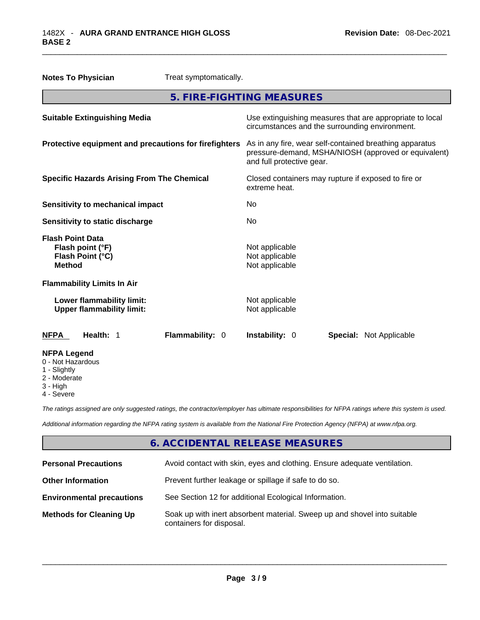| <b>Notes To Physician</b>                                                        |                                                               | Treat symptomatically.                                |                                                                      |                                                                                                                 |
|----------------------------------------------------------------------------------|---------------------------------------------------------------|-------------------------------------------------------|----------------------------------------------------------------------|-----------------------------------------------------------------------------------------------------------------|
|                                                                                  |                                                               | 5. FIRE-FIGHTING MEASURES                             |                                                                      |                                                                                                                 |
|                                                                                  | <b>Suitable Extinguishing Media</b>                           |                                                       | circumstances and the surrounding environment.                       | Use extinguishing measures that are appropriate to local                                                        |
|                                                                                  |                                                               | Protective equipment and precautions for firefighters | and full protective gear.                                            | As in any fire, wear self-contained breathing apparatus<br>pressure-demand, MSHA/NIOSH (approved or equivalent) |
|                                                                                  | <b>Specific Hazards Arising From The Chemical</b>             |                                                       | Closed containers may rupture if exposed to fire or<br>extreme heat. |                                                                                                                 |
|                                                                                  | <b>Sensitivity to mechanical impact</b>                       |                                                       | No.                                                                  |                                                                                                                 |
|                                                                                  | Sensitivity to static discharge                               |                                                       | No                                                                   |                                                                                                                 |
| <b>Flash Point Data</b><br>Flash point (°F)<br>Flash Point (°C)<br><b>Method</b> |                                                               |                                                       | Not applicable<br>Not applicable<br>Not applicable                   |                                                                                                                 |
| <b>Flammability Limits In Air</b>                                                |                                                               |                                                       |                                                                      |                                                                                                                 |
|                                                                                  | Lower flammability limit:<br><b>Upper flammability limit:</b> |                                                       | Not applicable<br>Not applicable                                     |                                                                                                                 |
| <b>NFPA</b>                                                                      | Health: 1                                                     | Flammability: 0                                       | Instability: 0                                                       | <b>Special: Not Applicable</b>                                                                                  |
| <b>NFPA Legend</b><br>0 - Not Hazardous<br>1 - Slightly                          |                                                               |                                                       |                                                                      |                                                                                                                 |

- 
- 2 Moderate
- 3 High
- 4 Severe

*The ratings assigned are only suggested ratings, the contractor/employer has ultimate responsibilities for NFPA ratings where this system is used.* 

*Additional information regarding the NFPA rating system is available from the National Fire Protection Agency (NFPA) at www.nfpa.org.* 

# **6. ACCIDENTAL RELEASE MEASURES**

| <b>Personal Precautions</b>      | Avoid contact with skin, eyes and clothing. Ensure adequate ventilation.                             |
|----------------------------------|------------------------------------------------------------------------------------------------------|
| <b>Other Information</b>         | Prevent further leakage or spillage if safe to do so.                                                |
| <b>Environmental precautions</b> | See Section 12 for additional Ecological Information.                                                |
| <b>Methods for Cleaning Up</b>   | Soak up with inert absorbent material. Sweep up and shovel into suitable<br>containers for disposal. |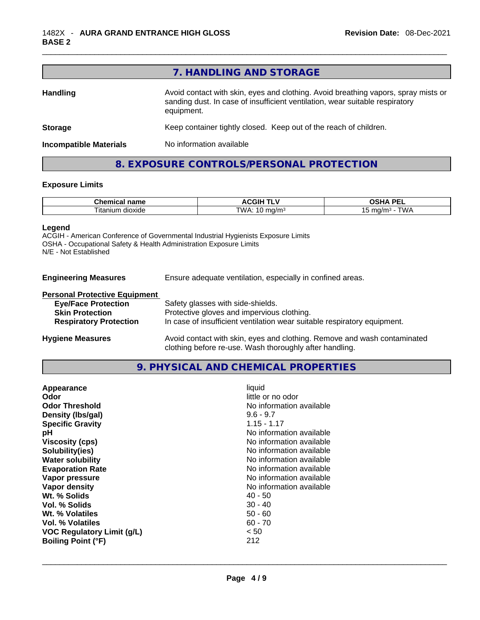|                               | 7. HANDLING AND STORAGE                                                                                                                                                          |
|-------------------------------|----------------------------------------------------------------------------------------------------------------------------------------------------------------------------------|
| <b>Handling</b>               | Avoid contact with skin, eyes and clothing. Avoid breathing vapors, spray mists or<br>sanding dust. In case of insufficient ventilation, wear suitable respiratory<br>equipment. |
| <b>Storage</b>                | Keep container tightly closed. Keep out of the reach of children.                                                                                                                |
| <b>Incompatible Materials</b> | No information available                                                                                                                                                         |
|                               | 8. EXPOSURE CONTROLS/PERSONAL PROTECTION                                                                                                                                         |

## **Exposure Limits**

| $  -$<br>.<br>янсаг<br>пане                           | "                   | <b>DEI</b><br>$\overline{\phantom{a}}$<br>-- |
|-------------------------------------------------------|---------------------|----------------------------------------------|
| $\sim$<br>∣ita<br>1.11<br>aloxide -<br>יי ה<br>,,,,,, | TWA.<br>,,,,<br>. . | ma <sub>0</sub><br>' WL<br>.                 |

# **Legend**

ACGIH - American Conference of Governmental Industrial Hygienists Exposure Limits OSHA - Occupational Safety & Health Administration Exposure Limits N/E - Not Established

| <b>Engineering Measures</b> |  | Ensure adequate ventilation, especially in confined areas. |  |
|-----------------------------|--|------------------------------------------------------------|--|
|-----------------------------|--|------------------------------------------------------------|--|

#### **Personal Protective Equipment**

| <b>Eye/Face Protection</b>    | Safety glasses with side-shields.                                        |
|-------------------------------|--------------------------------------------------------------------------|
| <b>Skin Protection</b>        | Protective gloves and impervious clothing.                               |
| <b>Respiratory Protection</b> | In case of insufficient ventilation wear suitable respiratory equipment. |
|                               |                                                                          |
| <b>Hygiene Measures</b>       | Avoid contact with skin, eyes and clothing. Remove and wash contaminated |
|                               | clothing before re-use. Wash thoroughly after handling.                  |

# **9. PHYSICAL AND CHEMICAL PROPERTIES**

| $9.6 - 9.7$<br>Density (Ibs/gal)<br><b>Specific Gravity</b><br>$1.15 - 1.17$<br>No information available<br>рH<br>No information available<br><b>Viscosity (cps)</b><br>No information available<br>Solubility(ies)<br>No information available<br><b>Water solubility</b><br>No information available<br><b>Evaporation Rate</b><br>No information available<br>Vapor pressure<br>No information available<br>Vapor density<br>Wt. % Solids<br>40 - 50<br>$30 - 40$<br>Vol. % Solids<br>Wt. % Volatiles<br>$50 - 60$<br>$60 - 70$<br>Vol. % Volatiles<br>< 50<br><b>VOC Regulatory Limit (g/L)</b><br>212<br><b>Boiling Point (°F)</b> | Appearance<br>Odor<br><b>Odor Threshold</b> | liquid<br>little or no odor<br>No information available |
|-----------------------------------------------------------------------------------------------------------------------------------------------------------------------------------------------------------------------------------------------------------------------------------------------------------------------------------------------------------------------------------------------------------------------------------------------------------------------------------------------------------------------------------------------------------------------------------------------------------------------------------------|---------------------------------------------|---------------------------------------------------------|
|-----------------------------------------------------------------------------------------------------------------------------------------------------------------------------------------------------------------------------------------------------------------------------------------------------------------------------------------------------------------------------------------------------------------------------------------------------------------------------------------------------------------------------------------------------------------------------------------------------------------------------------------|---------------------------------------------|---------------------------------------------------------|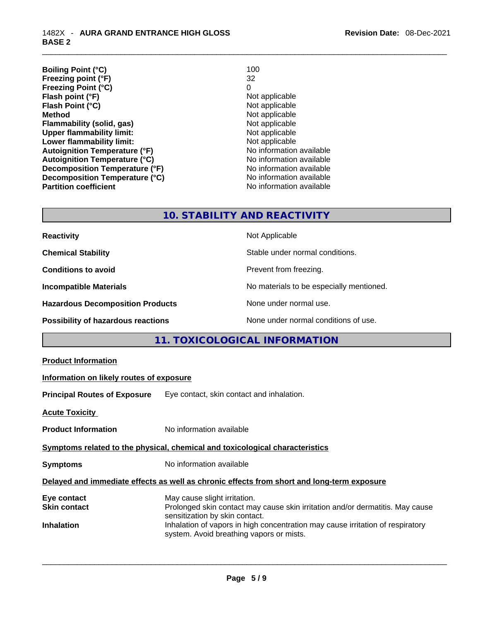| <b>Boiling Point (°C)</b>            | 100                      |
|--------------------------------------|--------------------------|
| Freezing point (°F)                  | 32                       |
| <b>Freezing Point (°C)</b>           | 0                        |
| Flash point (°F)                     | Not applicable           |
| Flash Point (°C)                     | Not applicable           |
| <b>Method</b>                        | Not applicable           |
| Flammability (solid, gas)            | Not applicable           |
| <b>Upper flammability limit:</b>     | Not applicable           |
| Lower flammability limit:            | Not applicable           |
| <b>Autoignition Temperature (°F)</b> | No information available |
| <b>Autoignition Temperature (°C)</b> | No information available |
| Decomposition Temperature (°F)       | No information available |
| Decomposition Temperature (°C)       | No information available |
| <b>Partition coefficient</b>         | No information available |

# **10. STABILITY AND REACTIVITY**

| <b>Reactivity</b>                         | Not Applicable                           |
|-------------------------------------------|------------------------------------------|
| <b>Chemical Stability</b>                 | Stable under normal conditions.          |
| <b>Conditions to avoid</b>                | Prevent from freezing.                   |
| <b>Incompatible Materials</b>             | No materials to be especially mentioned. |
| <b>Hazardous Decomposition Products</b>   | None under normal use.                   |
| <b>Possibility of hazardous reactions</b> | None under normal conditions of use.     |

# **11. TOXICOLOGICAL INFORMATION**

| Information on likely routes of exposure<br>Eye contact, skin contact and inhalation.                                                                                                                                                                                         |
|-------------------------------------------------------------------------------------------------------------------------------------------------------------------------------------------------------------------------------------------------------------------------------|
|                                                                                                                                                                                                                                                                               |
|                                                                                                                                                                                                                                                                               |
|                                                                                                                                                                                                                                                                               |
|                                                                                                                                                                                                                                                                               |
| No information available                                                                                                                                                                                                                                                      |
| Symptoms related to the physical, chemical and toxicological characteristics                                                                                                                                                                                                  |
| No information available                                                                                                                                                                                                                                                      |
| Delayed and immediate effects as well as chronic effects from short and long-term exposure                                                                                                                                                                                    |
| May cause slight irritation.<br>Prolonged skin contact may cause skin irritation and/or dermatitis. May cause<br>sensitization by skin contact.<br>Inhalation of vapors in high concentration may cause irritation of respiratory<br>system. Avoid breathing vapors or mists. |
|                                                                                                                                                                                                                                                                               |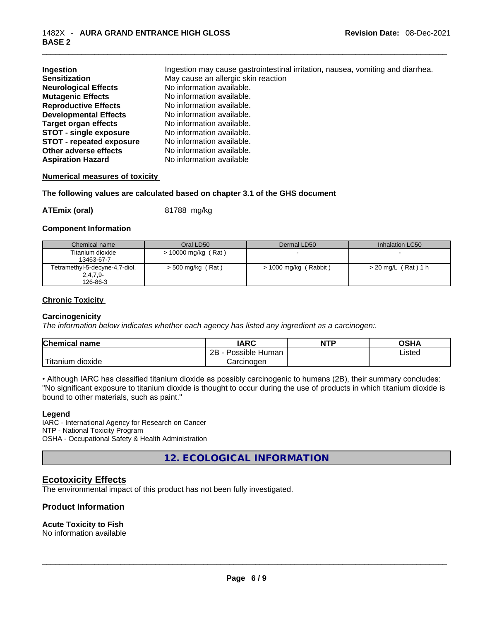| Ingestion<br><b>Sensitization</b> | Ingestion may cause gastrointestinal irritation, nausea, vomiting and diarrhea.<br>May cause an allergic skin reaction |
|-----------------------------------|------------------------------------------------------------------------------------------------------------------------|
| <b>Neurological Effects</b>       | No information available.                                                                                              |
| <b>Mutagenic Effects</b>          | No information available.                                                                                              |
| <b>Reproductive Effects</b>       | No information available.                                                                                              |
| <b>Developmental Effects</b>      | No information available.                                                                                              |
| <b>Target organ effects</b>       | No information available.                                                                                              |
| <b>STOT - single exposure</b>     | No information available.                                                                                              |
| <b>STOT - repeated exposure</b>   | No information available.                                                                                              |
| Other adverse effects             | No information available.                                                                                              |
| <b>Aspiration Hazard</b>          | No information available                                                                                               |

#### **Numerical measures of toxicity**

**The following values are calculated based on chapter 3.1 of the GHS document**

**ATEmix (oral)** 81788 mg/kg

#### **Component Information**

| Chemical name                  | Oral LD50             | Dermal LD50           | Inhalation LC50       |
|--------------------------------|-----------------------|-----------------------|-----------------------|
| Titanium dioxide               | $> 10000$ mg/kg (Rat) |                       |                       |
| 13463-67-7                     |                       |                       |                       |
| Tetramethyl-5-decyne-4,7-diol, | $>$ 500 mg/kg (Rat)   | > 1000 mg/kg (Rabbit) | $> 20$ mg/L (Rat) 1 h |
| $2,4,7,9-$                     |                       |                       |                       |
| 126-86-3                       |                       |                       |                       |

#### **Chronic Toxicity**

#### **Carcinogenicity**

*The information below indicates whether each agency has listed any ingredient as a carcinogen:.* 

| <b>Chemical name</b> | IARC                 | <b>NTP</b> | OSHA   |
|----------------------|----------------------|------------|--------|
|                      | Possible Human<br>2Β |            | Listed |
| Titanium<br>dioxide  | Carcinoɑen           |            |        |

• Although IARC has classified titanium dioxide as possibly carcinogenic to humans (2B), their summary concludes: "No significant exposure to titanium dioxide is thought to occur during the use of products in which titanium dioxide is bound to other materials, such as paint."

#### **Legend**

IARC - International Agency for Research on Cancer NTP - National Toxicity Program OSHA - Occupational Safety & Health Administration

**12. ECOLOGICAL INFORMATION** 

# **Ecotoxicity Effects**

The environmental impact of this product has not been fully investigated.

# **Product Information**

#### **Acute Toxicity to Fish**

No information available \_\_\_\_\_\_\_\_\_\_\_\_\_\_\_\_\_\_\_\_\_\_\_\_\_\_\_\_\_\_\_\_\_\_\_\_\_\_\_\_\_\_\_\_\_\_\_\_\_\_\_\_\_\_\_\_\_\_\_\_\_\_\_\_\_\_\_\_\_\_\_\_\_\_\_\_\_\_\_\_\_\_\_\_\_\_\_\_\_\_\_\_\_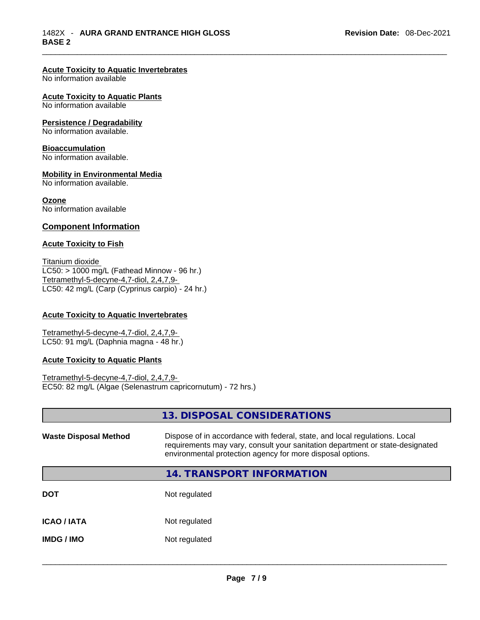# **Acute Toxicity to Aquatic Invertebrates**

No information available

#### **Acute Toxicity to Aquatic Plants**

No information available

#### **Persistence / Degradability**

No information available.

#### **Bioaccumulation**

No information available.

#### **Mobility in Environmental Media**

No information available.

#### **Ozone**

No information available

## **Component Information**

#### **Acute Toxicity to Fish**

Titanium dioxide  $LC50:$  > 1000 mg/L (Fathead Minnow - 96 hr.) Tetramethyl-5-decyne-4,7-diol, 2,4,7,9- LC50: 42 mg/L (Carp (Cyprinus carpio) - 24 hr.)

## **Acute Toxicity to Aquatic Invertebrates**

Tetramethyl-5-decyne-4,7-diol, 2,4,7,9- LC50: 91 mg/L (Daphnia magna - 48 hr.)

#### **Acute Toxicity to Aquatic Plants**

Tetramethyl-5-decyne-4,7-diol, 2,4,7,9- EC50: 82 mg/L (Algae (Selenastrum capricornutum) - 72 hrs.)

|                              | 13. DISPOSAL CONSIDERATIONS                                                                                                                                                                                               |
|------------------------------|---------------------------------------------------------------------------------------------------------------------------------------------------------------------------------------------------------------------------|
| <b>Waste Disposal Method</b> | Dispose of in accordance with federal, state, and local regulations. Local<br>requirements may vary, consult your sanitation department or state-designated<br>environmental protection agency for more disposal options. |
|                              | 14. TRANSPORT INFORMATION                                                                                                                                                                                                 |
| <b>DOT</b>                   | Not regulated                                                                                                                                                                                                             |
| ICAO / IATA                  | Not regulated                                                                                                                                                                                                             |
| IMDG / IMO                   | Not regulated                                                                                                                                                                                                             |
|                              |                                                                                                                                                                                                                           |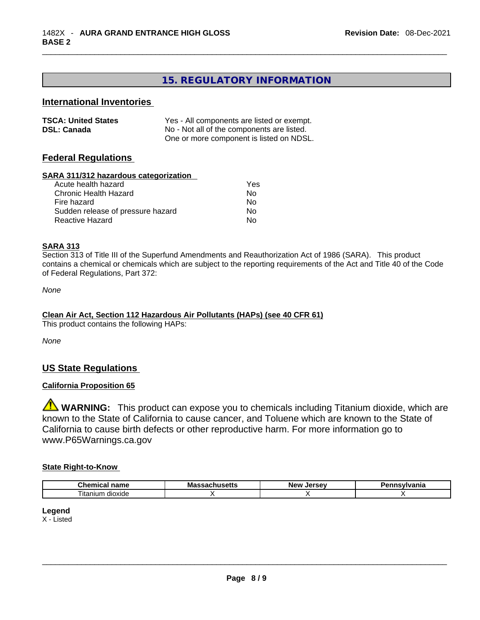# **15. REGULATORY INFORMATION**

## **International Inventories**

| <b>TSCA: United States</b> | Yes - All components are listed or exempt. |
|----------------------------|--------------------------------------------|
| <b>DSL: Canada</b>         | No - Not all of the components are listed. |
|                            | One or more component is listed on NDSL.   |

# **Federal Regulations**

#### **SARA 311/312 hazardous categorization**

| Acute health hazard               | Yes |
|-----------------------------------|-----|
| Chronic Health Hazard             | Nο  |
| Fire hazard                       | No  |
| Sudden release of pressure hazard | No. |
| Reactive Hazard                   | Nο  |

#### **SARA 313**

Section 313 of Title III of the Superfund Amendments and Reauthorization Act of 1986 (SARA). This product contains a chemical or chemicals which are subject to the reporting requirements of the Act and Title 40 of the Code of Federal Regulations, Part 372:

*None*

# **Clean Air Act,Section 112 Hazardous Air Pollutants (HAPs) (see 40 CFR 61)**

This product contains the following HAPs:

*None*

# **US State Regulations**

# **California Proposition 65**

**WARNING:** This product can expose you to chemicals including Titanium dioxide, which are known to the State of California to cause cancer, and Toluene which are known to the State of California to cause birth defects or other reproductive harm. For more information go to www.P65Warnings.ca.gov

#### **State Right-to-Know**

| rь<br>$  -$<br>---<br>11<br>юн<br>. .<br>. | w<br>אוספ | <b>Lorcov</b><br>New | нс |
|--------------------------------------------|-----------|----------------------|----|
| $- \cdot$<br><br>dioxide<br>l itanıum      |           |                      |    |

## **Legend**

X - Listed